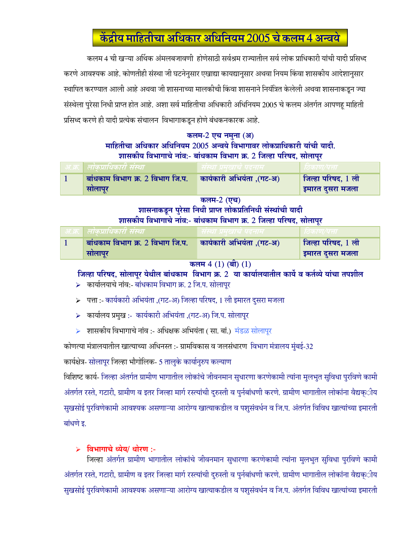# केंद्रीय माहितीचा अधिकार अधिनियम 2005 चे कलम 4 अन्वये

कलम 4 ची खऱ्या अर्थिक अंमलबजावणी होणेसाठी सर्वश्रम राज्यातील सर्व लोक प्राधिकारी यांची यादी प्रसिध्द करणे आवश्यक आहे. कोणतीही संस्था जी घटनेनुसार एखाद्या कायद्यानुसार अथवा नियम किंवा शासकीय आदेशानुसार स्थापित करण्यात आली आहे अथवा जी शासनाच्या मालकीची किंवा शासनाने नियंत्रित केलेली अथवा शासनाकडून ज्या संस्थेला पुरेसा निधी प्राप्त होत आहे. अशा सर्व माहितीचा अधिकारी अधिनियम 2005 चे कलम अंतर्गत आपणहू माहिती प्रसिध्द करणे ही यादी प्रत्येक संचालन विभागाकडून होणे बंधकनकारक आहे.

## कलम-2 एच नमना (अ) माहितीचा अधिकार अधिनियम 2005 अन्वये विभागावर लोकप्राधिकारी यांची यादी. शासकीय विभागाचे नांव:- बांधकाम विभाग क्र. 2 जिल्हा परिषद, सोलापुर

| । लाकप्रााधकारा संस्था           |                             |                           |
|----------------------------------|-----------------------------|---------------------------|
| बांधकाम विभाग क्र. 2 विभाग जि.प. | , कार्यकारी अभियंता ,(गट-अ) | <b>जिल्हा परिषद, 1 ली</b> |
| सोलापूर                          |                             | इमारत दुसरा मजला          |

कलम-2 (एच)

# शासनाकडून पुरेसा निधी प्राप्त लोकप्रतिनिधी संस्थांची यादी शासकीय विभागाचे नांव:- बांधकाम विभाग क्र. 2 जिल्हा परिषद, सोलापुर

| ्लाकप्राधिकारा संस्था            | ।स्था प्रमखाच पदनाम       |                           |
|----------------------------------|---------------------------|---------------------------|
| बांधकाम विभाग क्र. 2 विभाग जि.प. | कार्यकारी अभियंता ,(गट-अ) | <b>जिल्हा परिषद, 1 ली</b> |
| सोलापूर                          |                           | इमारत दुसरा मजला          |

### कलम  $4(1)$  (बी)  $(1)$

# जिल्हा परिषद, सोलापूर येथील बांधकाम विभाग क्र. 2 या कार्यालयातील कार्ये व कर्तव्ये यांचा तपशील

- $\triangleright$  कार्यालयाचे नांव:- बांधकाम विभाग क्र. 2 जि.प. सोलापुर
- ≻ पत्ता :- कार्यकारी अभियंता ,(गट-अ) जिल्हा परिषद, 1 ली इमारत दुसरा मजला
- ≻ कार्यालय प्रमुख :- कार्यकारी अभियंता ,(गट-अ) जि.प. सोलापूर
- ▶ शासकीय विभागाचे नांव :- अधिक्षक अभियंता ( सा. बां.) मंडळ सोलापूर

कोणत्या मंत्रालयातील खात्याच्या अधिनस्त :- ग्रामविकास व जलसंधारण विभाग मंत्रालय मुंबई-32

कार्यक्षेत्र- सोलापूर जिल्हा भौगोलिक- 5 तालुके कार्यानुरुप कल्याण

विशिष्ट कार्य- जिल्हा अंतर्गत ग्रामीण भागातील लोकांचे जीवनमान सुधारणा करणेकामी त्यांना मुलभूत सुविधा पुरविणे कामी अंतर्गत रस्ते, गटारी, ग्रामीण व इतर जिल्हा मार्ग रस्त्यांची दुरुस्ती व पुर्नबांधणी करणे. ग्रामीण भागातील लोकांना वैद्यक्ीय सुखसोई पुरविणेकामी आवश्यक असणाऱ्या आरोग्य खात्याकडील व पशुसंवर्धन व जि.प. अंतर्गत विविध खात्यांच्या इमारती बांधणे इ.

# विभागाचे ध्येय/ धोरण :-

जिल्हा अंतर्गत ग्रामीण भागातील लोकांचे जीवनमान सुधारणा करणेकामी त्यांना मुलभुत सुविधा पुरविणे कामी अंतर्गत रस्ते, गटारी, ग्रामीण व इतर जिल्हा मार्ग रस्त्यांची दुरुस्ती व पुर्नबांधणी करणे. ग्रामीण भागातील लोकांना वैद्यक्ीय सुखसोई पुरविणेकामी आवश्यक असणाऱ्या आरोग्य खात्याकडील व पशुसंवर्धन व जि.प. अंतर्गत विविध खात्यांच्या इमारती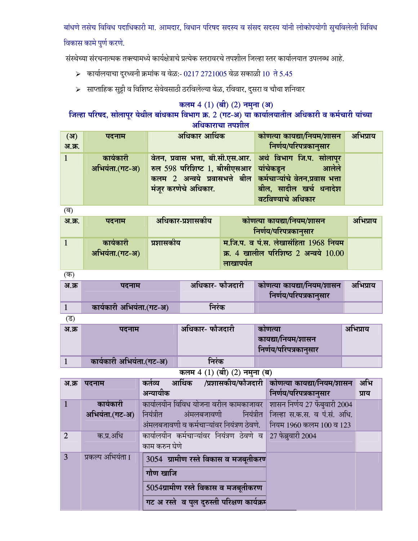बांधणे तसेच विविध पदाधिकारी मा. आमदार, विधान परिषद सदस्य व संसद सदस्य यांनी लोकोपयोगी सुचविलेली विविध

# विकास कामे पुर्ण करणे.

संस्थेच्या संरचनात्मक तक्त्यामध्ये कार्यक्षेत्राचे प्रत्येक स्तरावरचे तपशील जिल्हा स्तर कार्यालयात उपलब्ध आहे.

- > कार्यालयाचा दुरध्वनी क्रमांक व वेळ:- 0217 2721005 वेळ सकाळी 10 ते 5.45
- ≻ साप्ताहिक सुट्टी व विशिष्ट सेवेवसाठी ठरविलेल्या वेळ, रविवार, दुसरा व चौथा शनिवार

# कलम 4 (1) (बी) (2) नमुना (अ)<br>जिल्हा परिषद, सोलापूर येथील बांधकाम विभाग क्र. 2 (गट-अ) या कार्यालयातील अधिकारी व कर्मचारी यांच्या अधिकाराचा तपशील

| (3)    | पदनाम          | अधिकार आर्थिक                                                | कोणत्या कायद्या/नियम/शासन | अभिप्राय |
|--------|----------------|--------------------------------------------------------------|---------------------------|----------|
| अ.क्र. |                |                                                              | निर्णय/परिपत्रकानुसार     |          |
|        | कार्यकारी      | वेतन, प्रवास भत्ता, बी.सी.एस.आर. अर्थ विभाग जि.प. सोलापुर    |                           |          |
|        | अभियंता.(गट-अ) | रुल 598 परिशिष्ट 1, बीसीएसआर यांचेकडून                       | आलेले                     |          |
|        |                | कलम 2 अन्वये प्रवासभत्ते बील कर्मचाऱ्यांचे वेतन,प्रवास भत्ता |                           |          |
|        |                | मंजूर करणेचे अधिकार.                                         | बील, सादील खर्च धनादेश    |          |
|        |                |                                                              | वटविण्याचे अधिकार         |          |

 $\overline{a}$ 

| अ.क्र. | पदनाम                       | अधिकार-प्रशासकीय | कोणत्या कायद्या/नियम/शासन<br>निर्णय/परिपत्रकानुसार                                       | अभिप्राय |
|--------|-----------------------------|------------------|------------------------------------------------------------------------------------------|----------|
|        | कार्यकारी<br>अभियंता.(गट-अ) | प्रशासकीय        | म.जि.प. व पं.स. लेखासंहिता 1968 नियम<br>क्र. 4 खालील परिशिष्ठ 2 अन्वये 10.00<br>लाखापयेत |          |

 $($ क)

| अ.क्र | पदनाम                    | अधिकार- फौजदारी | कोणत्या कायद्या/नियम/शासन<br>निर्णय/परिपत्रकानुसार | आभप्राय |
|-------|--------------------------|-----------------|----------------------------------------------------|---------|
|       | कार्यकारी अभियंता.(गट-अ) | निरंक           |                                                    |         |

 $\overline{z}$ 

| अ.क्र | पदनाम                    | ⊿ अधिकार- फौजदारी | काणत्या<br>कायद्या/नियम/शासन<br>निर्णय/परिपत्रकानुसार | अभिप्राय |
|-------|--------------------------|-------------------|-------------------------------------------------------|----------|
|       | कार्यकारी अभियंता.(गट-अ) | निरंक             |                                                       |          |

कलम 4 (1) (बी) (2) नमुना (ब)

| अ.क्र           | पदनाम             | कर्तव्य आर्थिक /प्रशासकीय/फौजदारी कोणत्या कायद्या/नियम/शासन  |                               | अभि   |
|-----------------|-------------------|--------------------------------------------------------------|-------------------------------|-------|
|                 |                   | अन्यायीक                                                     | निर्णय/परिपत्रकानुसार         | प्राय |
| $\vert$ 1       | कार्यकारी         | कार्यालयीन विविध योजना वरील कामकाजावर                        | शासन निर्णय 27 फेंबुवारी 2004 |       |
|                 | अभियंता.(गट-अ)    | नियंत्रीत अंमलबजावणी नियंत्रीत $\parallel$                   | जिल्हा स.क.स. व पं.सं. अधि.   |       |
|                 |                   | अंमलबजावणी व कर्मचाऱ्यांवर नियंत्रण ठेवणे.                   | नियम 1960 कलम 100 व 123       |       |
| $\overline{2}$  | क.प्र.अधि         | कार्यालयीन कर्मचाऱ्यांवर नियंत्रण ठेवणे व 27 फेब्रुवारी 2004 |                               |       |
|                 |                   | काम करुन घेणे                                                |                               |       |
| $\vert 3 \vert$ | प्रकल्प अभियंता I | 3054 ग्रामीण रस्ते विकास व मजबूतीकरण                         |                               |       |
|                 |                   | गौण खाजि                                                     |                               |       |
|                 |                   | 5054ग्रामीण रस्ते विकास व मजबूतीकरण                          |                               |       |
|                 |                   | गट अ रस्ते व पुल दुरुस्ती परिक्षण कार्यक्रम                  |                               |       |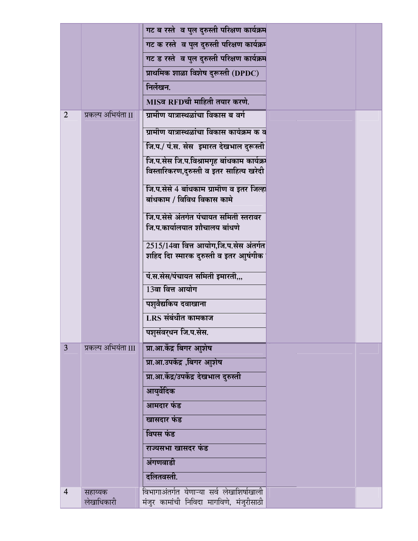|                |                     | गट ब रस्ते व पुल दुरुस्ती परिक्षण कार्यक्रम |  |
|----------------|---------------------|---------------------------------------------|--|
|                |                     | गट क रस्ते व पुल दुरुस्ती परिक्षण कार्यक्रम |  |
|                |                     | गट ड रस्ते व पुल दुरुस्ती परिक्षण कार्यक्रम |  |
|                |                     | प्राथमिक शाळा विशेष दुरूस्ती (DPDC)         |  |
|                |                     | निर्लेखन.                                   |  |
|                |                     | MISव RFDची माहिती तयार करणे.                |  |
| $\overline{2}$ | प्रकल्प अभियंता II  | ग्रामीण यात्रास्थळांचा विकास ब वर्ग         |  |
|                |                     | ग्रामीण यात्रास्थळांचा विकास कार्यक्रम क व  |  |
|                |                     | जि.प./ पं.स. सेस  इमारत देखभाल दुरूस्ती     |  |
|                |                     | जि.प.सेस जि.प.विश्रामगृह बांधकाम कार्यक्र   |  |
|                |                     | विस्तारिकरण,दुरुस्ती व इतर साहित्य खरेदी    |  |
|                |                     | जि.प.सेसे 4 बांधकाम ग्रामीण व इतर जिल्हा    |  |
|                |                     | बांधकाम / विविध विकास कामे                  |  |
|                |                     | जि.प.सेसे अंतर्गत पंचायत समिती स्तरावर      |  |
|                |                     | जि.प.कार्यालयात शौचालय बांधणे               |  |
|                |                     | 2515/14वा वित्त आयोग,जि.प.सेस अंतर्गत       |  |
|                |                     | शहिद दिा स्मारक दुरुस्ती व इतर आुषंगीक      |  |
|                |                     | पं.स.सेस/पंचायत समिती इमारती,,,             |  |
|                |                     | 13वा वित्त आयोग                             |  |
|                |                     | पशुवैद्यकिय दवाखाना                         |  |
|                |                     | $LRS$ संबंधीत कामकाज                        |  |
|                |                     | पशुसंवर्धन जि.प.सेस.                        |  |
| 3              | प्रकल्प अभियंता III | प्रा.आ.केंद्र बिगर आुशेष                    |  |
|                |                     | प्रा.आ.उपकेंद्र ,बिगर आुशेष                 |  |
|                |                     | प्रा.आ.केंद्र/उपकेंद्र देखभाल दुरुस्ती      |  |
|                |                     | आयुर्वेदिक                                  |  |
|                |                     | आमदार फंड                                   |  |
|                |                     | खासदार फंड                                  |  |
|                |                     | विपस फंड                                    |  |
|                |                     | राज्यसभा खासदर फंड                          |  |
|                |                     | अंगणवाडी                                    |  |
|                |                     | दलितवस्ती.                                  |  |
| $\overline{4}$ | सहाय्यक             | विभागाअंतर्गत येणाऱ्या सर्व लेखाशिर्षाखाली  |  |
|                | लेखाधिकारी          | मंजुर कामांची निविदा मागविणे, मंजुरीसाठी    |  |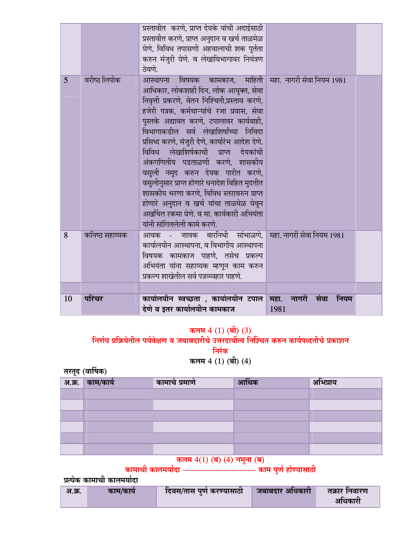|                |                | प्रस्तावीत  करणे, प्राप्त देयके यांची अदाईसाठी<br>प्रस्तावीत करणे, प्राप्त अनुदान व खर्च ताळमेळ<br>घेणे, विविध तपासणी अहवालाची शक पुर्तता<br>करुन मंजुरी घेणे. व लेखाविभागावर नियंत्रण<br>ठेवणे.                                                                                                                                                                                                                                                                                                                                                                                                                                               |                                  |  |
|----------------|----------------|------------------------------------------------------------------------------------------------------------------------------------------------------------------------------------------------------------------------------------------------------------------------------------------------------------------------------------------------------------------------------------------------------------------------------------------------------------------------------------------------------------------------------------------------------------------------------------------------------------------------------------------------|----------------------------------|--|
| $\overline{5}$ | वरीष्ठ लिपीक   | आस्थापना विषयक कामकाज,<br>आधिकार, लोकशाही दिन, लोक आयुक्त, सेवा<br>निवृत्ती प्रकरणे, वेतन निश्चिती,प्रस्ताव करणे,<br>हजेरी पत्रक, कर्मचाऱ्यांचे रजा प्रवास, सेवा<br>पुस्तके अद्यावत करणे, टपालावर कार्यवाही,<br>विभागाकडील सर्व लेखाशिर्षांच्या निविदा<br>प्रसिध्द करणे, मंजुरी देणे, कार्यारंभ आदेश देणे.<br>विविध लेखाशिर्षकाची प्राप्त देयकांची<br>अंकगणितीय पडताळणी करणे, शासकीय<br>वसुली नमुद करुन देयक पारीत करणे,<br>वसुलीनुसार प्राप्त होणारे धनादेश विहित मुदतीत<br>शासकीय भरणा करणे, विविध स्तरावरुन प्राप्त<br>होणारे अनुदान व खर्च यांचा ताळमेळ घेवून<br>अर्खाचत रकमा घेणे. व मा. कार्यकारी अभियंता<br>यांनी सांगितलेली कामे करणे. | माहिती सहा. नागरी सेवा नियम 1981 |  |
| 8              | कनिष्ठ सहाय्यक | आवक - जावक बारनिधी सांभाळणे, महा नागरी सेवा नियम 1981<br>कार्यालयीन आस्थापना, व विभागीय आस्थापना<br>विषयक कामकाज पाहणे, तसेच प्रकल्प<br>अभियंता यांना सहाय्यक म्हणून काम करुन<br>प्रकल्प शाखेतील सर्व पत्रव्य्वहार पाहणे.                                                                                                                                                                                                                                                                                                                                                                                                                      |                                  |  |
| 10             | परिचर          | कार्यालयीन स्वच्छता , कार्यालयीन टपाल महा.<br>देणे व इतर कार्यालयीन कामकाज                                                                                                                                                                                                                                                                                                                                                                                                                                                                                                                                                                     | नागरी सेवा<br>नियम<br>1981       |  |

# कलम 4 (1) (बी) (3)<br>निर्णय प्रक्रियेतील पर्यवेक्षण व जबाबदारीचे उत्तरदायीत्व निश्चित करुन कार्यपध्दतीचे प्रकाशन निरंक

कलम 4 (1) (बी) (4)

तरतूद (वार्षिक)

| $\sim$<br>अ.क्र. | ∣ काम/कार्य | कामाचे प्रमाणे | आर्थिक | अभिप्राय |
|------------------|-------------|----------------|--------|----------|
|                  |             |                |        |          |
|                  |             |                |        |          |
|                  |             |                |        |          |
|                  |             |                |        |          |
|                  |             |                |        |          |
|                  |             |                |        |          |

# कलम  $4(1)$  (ब)  $(4)$  नमुना (ब)<br>कामाची कालमर्यादा --------------------------- काम पुर्ण होण्यासाठी

प्रत्येक कामाची कालमर्यादा

| अ.क्र. | काम/काय | दिवस/तास पुणे करण्यासाठी | जबाबदार अधिकारी | तक्रार निवारण |
|--------|---------|--------------------------|-----------------|---------------|
|        |         |                          |                 | अधिकारी       |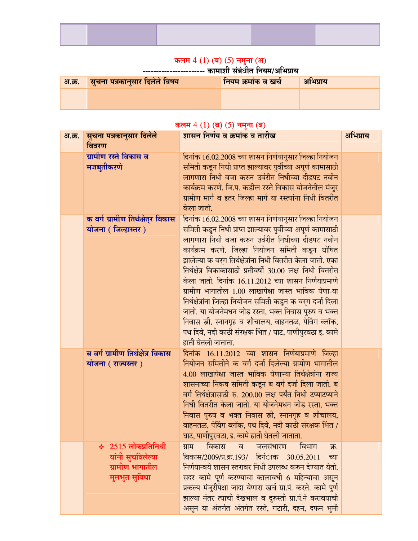### कलम 4 (1) (ब) (5) नमुना (अ)

---------------------- कामाशी संबर्धीत नियम/अभिप्राय

| ेअ.क्र.   सुचना पत्रकानुसार दिलेले विषय | नियम क्रमांक व खर्च | अभिप्राय |
|-----------------------------------------|---------------------|----------|
|                                         |                     |          |
|                                         |                     |          |

### कलम 4 (1) (ब) (5) नमुना (ब)

| अ.क्र. | सुचना पत्रकानुसार दिलेले<br>विवरण                                                 | <u>शासन निर्णय व क्रमांक व तारीख</u>                                                                                                                                                                                                                                                                                                                                                                                                                                                                                                                                                                                                                                                                                                        | अभिप्राय |
|--------|-----------------------------------------------------------------------------------|---------------------------------------------------------------------------------------------------------------------------------------------------------------------------------------------------------------------------------------------------------------------------------------------------------------------------------------------------------------------------------------------------------------------------------------------------------------------------------------------------------------------------------------------------------------------------------------------------------------------------------------------------------------------------------------------------------------------------------------------|----------|
|        | ग्रामीण रस्ते विकास व<br>मजबुतीकरणे                                               | दिनांक 16.02.2008 च्या शासन निर्णयानुसार जिल्हा नियोजन<br>समिती कडून निधी प्राप्त झाल्यावर पुर्वीच्या अपूर्ण कामासाठी<br>लागणारा निधी वजा करुन उर्वरीत निधीच्या दीडपट नवीन<br>कार्यक्रम करणे. जि.प. कडील रस्ते विकास योजनेतील मंजुर<br>ग्रामीण मार्ग व इतर जिल्हा मार्ग या रस्त्यांना निधी वितरीत<br>केला जातो.                                                                                                                                                                                                                                                                                                                                                                                                                             |          |
|        | क वर्ग ग्रामीण तिर्थक्षेत्र विकास<br>योजना (जिल्हास्तर)                           | दिनांक 16.02.2008 च्या शासन निर्णयानुसार जिल्हा नियोजन<br>समिती कडून निधी प्राप्त झाल्यावर पुर्वीच्या अपूर्ण कामासाठी<br>लागणारा निधी वजा करुन उर्वरीत निधीच्या दीडपट नवीन<br>कार्यक्रम करणे. जिल्हा नियोजन समिती कडून घोषित<br>झालेल्या क वर्ग तिर्थक्षेत्रांना निधी वितरीत केला जातो. एका<br>तिर्थक्षेत्र विकाकासाठी प्रतीवर्षी 30.00 लक्ष निधी वितरीत<br>केला जातो. दिनांक 16.11.2012 च्या शासन निर्णयाप्रमाणे<br>ग्रामीण भागातील 1.00 लाखापेक्षा जास्त भाविक येणा-या<br>तिर्थक्षेत्रांना जिल्हा नियोजन समिती कडून क वर्ग दर्जा दिला<br>जातो. या योजनेमधन जोड रस्ता, भक्त निवास पुरुष व भक्त<br>निवास स्त्री, स्नानगृह व शौचालय, वाहनतळ, पेविंग ब्लॉक,<br>पथ दिवे, नदी काठी संरक्षक भिंत / घाट, पाणीपुरवठा इ. कामे<br>हाती घेतली जाताता. |          |
|        | ब वर्ग ग्रामीण तिर्थक्षेत्र विकास<br>योजना ( राज्यस्तर )                          | दिनांक 16.11.2012 च्या शासन निर्णयाप्रमाणे जिल्हा<br>नियोजन समितीने क वर्ग दर्जा दिलेल्या ग्रामीण भागातील<br>4.00 लाखापेक्षा जास्त भाविक येणाऱ्या तिर्थक्षेत्रांना राज्य<br>शासनाच्या निकष समिती कडून ब वर्ग दर्जा दिला जातो. ब<br>वर्ग तिर्थक्षेत्रासाठी रु. 200.00 लक्ष पर्यंत निधी टप्याटप्याने<br>निधी वितरीत केला जातो. या योजनेमधन जोड रस्ता, भक्त<br>निवास पुरुष व भक्त निवास स्त्री, स्नानगृह व शौचालय,<br>वाहनतळ, पेविंग ब्लॉक, पथ दिवे, नदी काठी संरक्षक भिंत /<br>घाट, पाणीपुरवठा, इ. कामे हाती घेतली जाताता.                                                                                                                                                                                                                    |          |
|        | $\div$ 2515 लोकप्रतिनिधी<br>यांनी सुचविलेल्या<br>ग्रामीण भागातील<br>मुलभुत सुविधा | विकास व जलसंधारण विभाग<br>ग्राम<br>क्र.<br>विकास/2009/प्र.क्र.193/ दिनंाक 30.05.2011<br>च्या<br>निर्णयान्वये शासन स्तरावर निधी उपलब्ध करुन देण्यात येतो.<br>सदर कामे पूर्ण करण्याचा कालावधी 6 महिन्याचा असून<br>प्रकल्प मंजुरीपेक्षा जादा येणारा खर्च ग्रा.पं. करते. कामे पुर्ण<br>झाल्या नंतर त्याची देखभाल व दुरुस्ती ग्रा.पं.ने करावयाची<br>असून या अंतर्गत अंतर्गत रस्ते, गटारी, दहन, दफन भुमी                                                                                                                                                                                                                                                                                                                                          |          |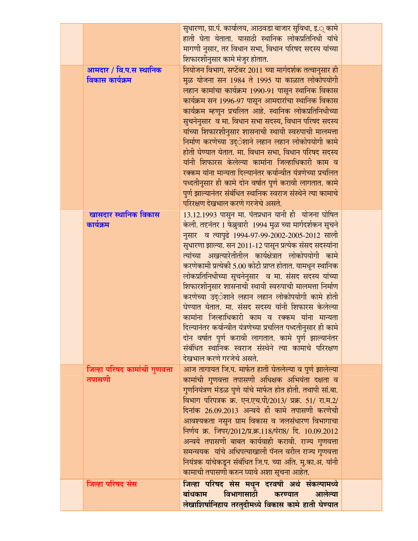|                                         | सुधारणा, ग्रा.पं. कार्यालय, आठवडा बाजार सुविधा, इ.् कामे                                    |  |
|-----------------------------------------|---------------------------------------------------------------------------------------------|--|
|                                         | हाती घेता येताता. यासाठी स्थानिक लोकप्रतिनिधी यांचे                                         |  |
|                                         | मागणी नुसार, तर विधान सभा, विधान परिषद सदस्य यांच्या                                        |  |
|                                         | शिफारशीनुसार कामे मंजुर होतात.                                                              |  |
| आमदार / वि.प.स स्थानिक                  | नियोजन विभाग, सप्टेंबर 2011 च्या मार्गदर्शक तत्वानुसार ही                                   |  |
| विकास कार्यक्रम                         | मुळ योजना सन 1984 ते 1995 या काळात लोकोपयोगी                                                |  |
|                                         | लहान कामांचा कार्यक्रम 1990-91 पासून स्थानिक विकास                                          |  |
|                                         | कार्यक्रम सन 1996-97 पासून आमदारांचा स्थानिक विकास                                          |  |
|                                         | कार्यक्रम म्हणून प्रचलित आहे. स्थानिक लोकप्रतिनिधीच्या                                      |  |
|                                         | सुचनेनुसार  व मा. विधान सभा सदस्य, विधान परिषद सदस्य                                        |  |
|                                         | यांच्या शिफारशीनुसार शासनाची स्थायी स्वरुपाची मालमत्ता                                      |  |
|                                         | निर्माण करणेच्या उद्ेशाने लहान लहान लोकोपयोगी कामे                                          |  |
|                                         | होती घेण्यात येतात. मा. विधान सभा, विधान परिषद सदस्य                                        |  |
|                                         | यांनी शिफारस केलेल्या कामांना जिल्हाधिकारी काम व                                            |  |
|                                         | रक्कम यांना मान्यता दिल्यानंतर कर्यान्वीत यंत्रणेच्या प्रचलित                               |  |
|                                         | पध्दतीनुसार ही कामे दोन वर्षात पुर्ण करावी लागतात. कामे                                     |  |
|                                         | पुर्ण झाल्यानंतर संबंधित स्थानिक स्वराज संस्थेने त्या कामाचे                                |  |
|                                         | परिरक्षण देखभाल करणे गरजेचे असते.                                                           |  |
| खासदार स्थानिक विकास                    | 13.12.1993 पासुन मा. पंतप्रधान यानी ही योजना घोषित                                          |  |
| कार्यक्रम                               | केली. तदनंतर 1 फेब्रुवारी  1994 मुळ च्या मार्गदर्शकन सुचने                                  |  |
|                                         | नुसार व त्यापुढे 1994-97-99-2002-2005-2012 साली                                             |  |
|                                         | सुधारणा झाल्या. सन 2011-12 पासून प्रत्येक संसद सदस्यांना                                    |  |
|                                         | त्यांच्या अखत्यारेतीतील कार्यक्षेत्रात लोकोपयोगी कामे                                       |  |
|                                         | करणेकामी प्रत्येकी 5.00 कोटी प्राप्त होतात. यामधून स्थानिक                                  |  |
|                                         | लोकप्रतिनिधीच्या सुचनेनुसार  व मा. संसद सदस्य यांच्या                                       |  |
|                                         | शिफारशीनुसार शासनाची स्थायी स्वरुपाची मालमत्ता निर्माण                                      |  |
|                                         | करणेच्या उद्ेशाने लहान लहान लोकोपयोगी कामे होती                                             |  |
|                                         | घेण्यात येतात. मा. संसद सदस्य यांनी शिफारस केलेल्या                                         |  |
|                                         | कामांना जिल्हाधिकारी काम व रक्कम यांना मान्यता                                              |  |
|                                         | दिल्यानंतर कर्यान्वीत यंत्रणेच्या प्रचलित पध्दतीनुसार ही कामे                               |  |
|                                         | दोन वर्षात पुर्ण करावी लागतात. कामे पुर्ण झाल्यानंतर                                        |  |
|                                         | संबंधित स्थानिक स्वराज संस्थेने त्या कामाचे परिरक्षण                                        |  |
|                                         | देखभाल करणे गरजेचे असते.                                                                    |  |
|                                         | आज तागायत जि.प. मार्फत हाती घेतलेल्या व पुर्ण झालेल्या                                      |  |
| जिल्हा परिषद कामांची गुणवत्ता<br>तपासणी | कामांची गुणवत्ता तपासणी अधिक्षक अभियंता दक्षता व                                            |  |
|                                         | गुणनियंत्रण मंडळ पुणे यांचे मार्फत होत होती. तथापी सां.बा.                                  |  |
|                                         | विभाग परिपत्रक क्र. एन.एच.पी/2013/ प्रक्र. 51/ रा.म.2/                                      |  |
|                                         | दिनांक 26.09.2013 अन्वये ही कामे तपासणी करणेची                                              |  |
|                                         | आवश्यकता नसुन ग्राम विकास व जलसंधारण विभागाचा                                               |  |
|                                         | निर्णय क्र. जिपर/2012/प्र.क्र.118/पंरा8/ दि. 10.09.2012                                     |  |
|                                         | अन्वये तपासणी बाबत कार्यवाही करावी. राज्य गुणवत्ता                                          |  |
|                                         | समन्वयक  यांचे अधिपत्याखाली पॅनल वरील राज्य गुणवत्ता                                        |  |
|                                         | नियंत्रक यांचेकडून संबंधित जि.प. च्या अति. मु.का.अ. यांनी                                   |  |
|                                         | कामाची तपासणी करुन घ्यावे अशा सूचना आहेत.                                                   |  |
|                                         |                                                                                             |  |
| जिल्हा परिषद सेस                        | जिल्हा परिषद सेस मधून दरवर्षी अर्थ संकल्पामध्ये<br>विभागासाठी करण्यात<br>बांधकाम<br>आलेल्या |  |
|                                         |                                                                                             |  |
|                                         | लेखाशिर्षानिहाय तरतुदीमध्ये विकास कामे हाती घेण्यात                                         |  |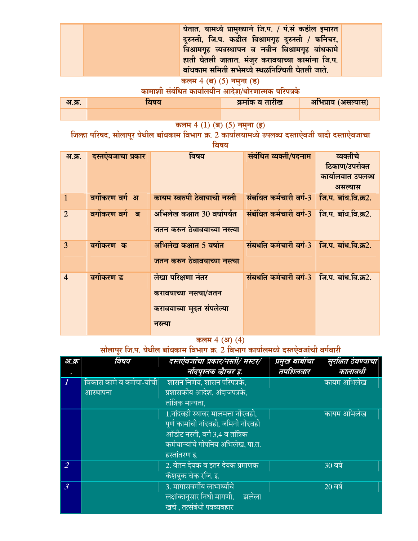| येतात. यामध्ये प्रामुख्याने जि.प. / पं.सं कडील इमारत<br>दुरुस्ती, जि.प. कडील विश्रामगृह दुरुस्ती / फर्निचर,<br>विश्रामगृह व्यवस्थापन व नवीन विश्रामगृह बांधकामे<br>हाती घेतली जातात. मंजुर करावयाच्या कामांना जि.प.<br>बांधकाम समिती सभेमध्ये स्थळनिश्चिती घेतली जाते. |  |
|------------------------------------------------------------------------------------------------------------------------------------------------------------------------------------------------------------------------------------------------------------------------|--|
|------------------------------------------------------------------------------------------------------------------------------------------------------------------------------------------------------------------------------------------------------------------------|--|

# कलम 4 (ब) (5) नमुना (ड)<br>कामाशी संबंधित कार्यालयीन आदेश/धोरणात्मक परिपत्रके

| अ.क्र. | तषय | क्रमांक व तारीख | अभिप्राय (असल्यास) |
|--------|-----|-----------------|--------------------|
|        |     |                 |                    |

कलम 4 (1) (ब) (5) नमुना (इ)<br>जिल्हा परिषद, सोलापूर येथील बांधकाम विभाग क्र. 2 कार्यालयामध्ये उपलब्ध दस्ताऐवजी यादी दस्ताऐवजाचा विषय

| अ.क्र.         | दस्तऐवजाचा प्रकार | विषय                                                                                 | संबंधित व्यक्ती/पदनाम                       | व्यक्तीचे<br>ठिकाण/उपरोक्त<br>कार्यालयात उपलब्ध<br>असल्यास |
|----------------|-------------------|--------------------------------------------------------------------------------------|---------------------------------------------|------------------------------------------------------------|
| $\mathbf{1}$   | वर्गीकरण वर्ग अ   | कायम स्वरुपी ठेवायाची नस्ती संबधिंत कर्मचारी वर्ग-3 जि.प. बांध.वि.क्र2.              |                                             |                                                            |
| $\overline{2}$ | वर्गीकरण वर्ग ब   | अभिलेख कक्षात 30 वर्षापर्यंत<br>जतन करुन ठेवावयाच्या नस्त्या                         | संबंधित कर्मचारी वर्ग-3 जि.प. बांध.वि.क्र2. |                                                            |
| 3              | वर्गीकरण क        | अभिलेख कक्षात 5 वर्षात<br>जतन करुन ठेवावयाच्या नस्त्या                               | संबधति कर्मचारी वर्ग-3 जि.प. बांध.वि.क्र2.  |                                                            |
| $\overline{4}$ | वर्गीकरण ड        | लेखा परिक्षणा नंतर<br>करावयाच्या नस्त्या/जतन<br>करावयाच्या मुदत संपलेल्या<br>नस्त्या | संबधति कर्मचारी वर्ग-3 जि.प. बांध.वि.क्र2.  |                                                            |

# कलम 4 (अ) (4)

# सोलापूर जि.प. येथील बांधकाम विभाग क्र. 2 विभाग कार्यालमध्ये दस्तऐवजांची वर्गवारी

| अ.क्र          | विषय                              | दस्तऐवजांचा प्रकार/नस्ती/ मस्टर/          | प्रमुख बाबींचा | सुरक्षित ठेवण्याचा |
|----------------|-----------------------------------|-------------------------------------------|----------------|--------------------|
|                |                                   | नोंदपुस्तक व्हैाचर इ.                     | तपशिलवार       | कालावधी            |
|                | <u>विकास कामे व कर्मचा-यांची </u> | शासन निर्णय, शासन परिपत्रके,              |                | कायम अभिलेख        |
|                | आस्थापना                          | प्रशासकीय आदेश, अंदाजपत्रके,              |                |                    |
|                |                                   | तांत्रिक मान्यता.                         |                |                    |
|                |                                   | <u>1.नांदवही स्थावर मालमत्ता नोंदवही,</u> |                | कायम अभिलेख        |
|                |                                   | पूर्ण कामांची नांदवही, जमिनी नोंदवही      |                |                    |
|                |                                   | <u>ऑडीट नस्ती, वर्ग 3,4 व तांत्रिक</u>    |                |                    |
|                |                                   | कर्मचाऱ्यांचे गोपनिय अभिलेख, पा.त.        |                |                    |
|                |                                   | हस्तांतरण इ.                              |                |                    |
| $\overline{2}$ |                                   | 2. वेतन देयक व इतर देयक प्रमाणक           |                | $30$ वर्ष          |
|                |                                   | कॅशबुक चेक रजि. इ.                        |                |                    |
| $\overline{3}$ |                                   | 3. मागासवर्गीय लाभार्थ्याचे               |                | $20$ वर्ष          |
|                |                                   | लक्षांकानुसार निधी मागणी, ज्ञलेला         |                |                    |
|                |                                   | खर्च , तत्संबंधी पत्रव्यवहार              |                |                    |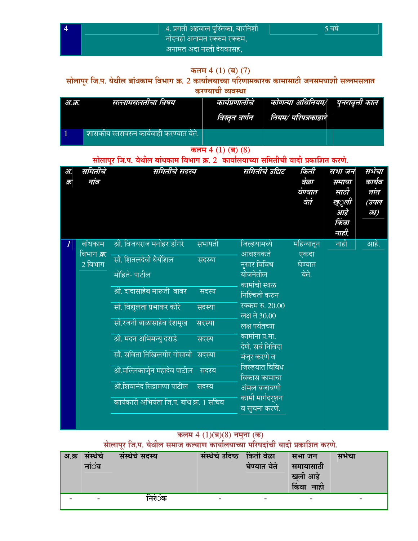|  | $\sqrt{4}$ . प्रगती अहवाल पुस्तिका, बारनिशी $\sqrt{2}$ | '5 वर्ष |
|--|--------------------------------------------------------|---------|
|  | ं नोंदवही अनामत रक्कम रक्कम, <i>।</i>                  |         |
|  | अनामत अदा नस्ती देयकासह,                               |         |

## कलम  $4(1)$  (ब)  $(7)$

# सोलापूर जि.प. येथील बांधकाम विभाग क्र. 2 कार्यालयाच्या परिणामकारक कामासाठी जनसमयाशी सल्लमसलात

करण्याची व्यवस्था

| अ.क्र. | सल्लामसलतीचा विषय                         | कार्यप्रणालांच<br>विस्तृत वर्णन | कोणत्या अधिनियम/   पुनरावृत्ती काल  <br>नियम/ परिपत्रकाद्वारे |  |
|--------|-------------------------------------------|---------------------------------|---------------------------------------------------------------|--|
|        | ।शासकीय स्तरावरुन कार्यवाही करण्यात येते. |                                 |                                                               |  |

कलम  $4(1)(\overline{q})(8)$ 

# सोलापूर जि.प. येथील बांधकाम विभाग क्र. 2 कार्यालयाच्या समितीची यादी प्रकाशित करणे.

| 37.      | समितीचे                  | समितीचे सदस्य                               | समितीचे उद्यिट        | किती       | सभा जन      | सभेचा  |
|----------|--------------------------|---------------------------------------------|-----------------------|------------|-------------|--------|
| क्र      | नांव                     |                                             |                       | वेळा       | समाया       | कार्यव |
|          |                          |                                             |                       | घेण्यात    | साठी        | त्तांत |
|          |                          |                                             |                       | येते       | ख्ुली       | (उपल   |
|          |                          |                                             |                       |            | आहे         | न्ध)   |
|          |                          |                                             |                       |            | किंवा       |        |
|          |                          |                                             |                       |            | नाही.       |        |
| $\bm{l}$ | बांधकाम                  | श्री. विजयराज मनोहर डोंगरे<br><u>सभापती</u> | जिल्हयाम <u>ध्ये</u>  | महिन्यातून | <u>नाही</u> | आहे.   |
|          | <u>वि</u> भाग <i>क्र</i> | सौ. शितलदेवी धैर्यशिल                       | आवश्यकते              | एकदा       |             |        |
|          | 2 विभाग                  | सदस्या                                      | नुसार विविध           | घेण्यात    |             |        |
|          |                          | मोहिते- पाटील                               | योजनेतील              | येते.      |             |        |
|          |                          | श्री. दादासाहेब मारूती  बाबर                | कामांची स्थळ          |            |             |        |
|          |                          | सदस्य                                       | निश्चिती करुन         |            |             |        |
|          |                          | सौ. विद्युलता प्रभाकर कोरे<br>सदस्या        | रक्कम रु. 20.00       |            |             |        |
|          |                          |                                             | लक्ष ते 30.00         |            |             |        |
|          |                          | सौ.रजनी बाळासाहेब देशमुख<br>सदस्या          | लक्ष पर्यंतच्या       |            |             |        |
|          |                          | श्री. मदन अभिमन्यु दराडे<br>सदस्य           | कामांना प्र.मा.       |            |             |        |
|          |                          |                                             | देणे. सर्व निविदा     |            |             |        |
|          |                          | सौ. सविता निखिलगीर गोसावी सदस्या            | मंजुर करणे व          |            |             |        |
|          |                          | श्री.मल्लिकार्जून महादेव पाटील<br>सदस्य     | <u>जिल्हयात विविध</u> |            |             |        |
|          |                          |                                             | विकास कामाचा          |            |             |        |
|          |                          | श्री.शिवानंद सिद्रामप्पा पाटील<br>सदस्य     | अंमल बजावणी           |            |             |        |
|          |                          | कार्यकारी अभियंता जि.प. बांध क्र. 1 सचिव    | कामी मार्गदर्शन       |            |             |        |
|          |                          |                                             | व सुचना करणे.         |            |             |        |
|          |                          |                                             |                       |            |             |        |

# कलम 4 (1)(ब)(8) नमुना (क)<br>सोलापूर जि.प. येथील समाज कल्याण कार्यालयाच्या परिषदांची यादी प्रकाशित करणे.

| अ.क्र | सस्थच<br>ना⊙व            | संस्थेचे सदस्य | संस्थेचे उदिष्ठ          | ंकिती वेळा<br>घेण्यात येते | सभा जन<br>समायासाठा<br>खली आहे<br>किंवा नाही | सभचा |
|-------|--------------------------|----------------|--------------------------|----------------------------|----------------------------------------------|------|
|       | $\overline{\phantom{a}}$ | निरंंक         | $\overline{\phantom{0}}$ | -                          | -                                            |      |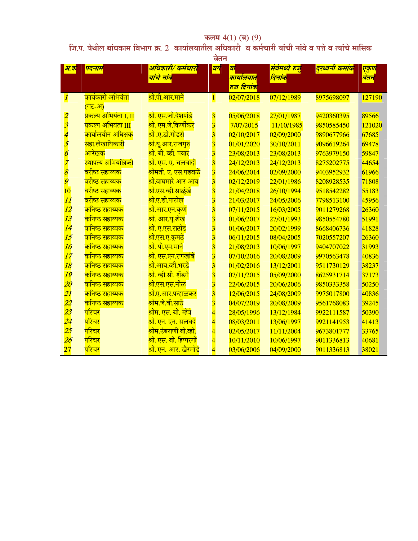# कलम 4(1) (ब) (9)<br>जि.प. येथील बांधकाम विभाग क्र. 2 कार्यालयातील अधिकारी व कर्मचारी यांची नांवे व पत्ते व त्यांचे मासिक

|                          | वेतन                                                  |                                      |                         |                                             |                          |                               |              |  |
|--------------------------|-------------------------------------------------------|--------------------------------------|-------------------------|---------------------------------------------|--------------------------|-------------------------------|--------------|--|
| <mark> अ.क</mark>        | पदनाम                                                 | अधिकारी/ कर्मचारी<br>यांचे नांव      | वग                      | या<br>कार्यालयात<br><mark>रुज दिनांक</mark> | सेवेमध्ये रुजू<br>दिनांक | <mark>दुरध्वनी क्रमांक</mark> | एकुण<br>वेतन |  |
| $\boldsymbol{l}$         | <mark>कार्यकारी अभियंता</mark><br><mark>(गट-अ)</mark> | <u>श्री.पी.आर.माने</u>               | $\mathbf{1}$            | 02/07/2018                                  | 07/12/1989               | 8975698097                    | 127190       |  |
| $\overline{\mathbf{2}}$  | <mark>प्रकल्प अभियंता I, II</mark>                    | <u>श्री. एस.जी.देशपांडे</u>          | $\overline{\mathbf{3}}$ | 05/06/2018                                  | 27/01/1987               | 9420360395                    | 89566        |  |
| $\overline{\mathbf{3}}$  | <mark>प्रकल्प अभियंता III</mark>                      | <mark>श्री. एम.जे.किर्णीकर</mark>    | $\overline{\mathbf{3}}$ | 7/07/2015                                   | 11/10/1985               | 9850585450                    | 121020       |  |
| $\overline{\mathcal{A}}$ | <mark>कार्यालयीन अधिक्षक</mark>                       | <mark>श्री .ए.डी.गोडसे</mark>        | $\overline{\mathbf{3}}$ | 02/10/2017                                  | 02/09/2000               | 9890677966                    | 67685        |  |
| $\boldsymbol{5}$         | <u>सहा.लेखाधिकारी</u>                                 | <mark>श्री.यू.आर.राजगुरु</mark>      | $\overline{\mathbf{3}}$ | 01/01/2020                                  | 30/10/2011               | 9096619264                    | 69478        |  |
| $\boldsymbol{\delta}$    | आरेखक                                                 | <mark>श्री. बी. व्ही. पवार</mark>    | $\overline{\mathbf{3}}$ | 23/08/2013                                  | 23/08/2013               | 9763979150                    | 59847        |  |
| $\overline{z}$           | स्थापत्य अभियांत्रिकी                                 | <u>श्री. एस. ए. चलवादी</u>           | $\overline{\mathbf{3}}$ | 24/12/2013                                  | 24/12/2013               | 8275202775                    | 44654        |  |
| $\boldsymbol{\delta}$    | <mark>वरीष्ठ सहाय्यक</mark>                           | <mark>श्रीमती. ए. एस.पडवळे</mark>    | $\overline{\mathbf{3}}$ | 24/06/2014                                  | 02/09/2000               | 9403952932                    | 61966        |  |
| $\boldsymbol{g}$         | वरीष्ठ सहाय्यक                                        | <u>श्री.वाघमारे आर आय</u>            | $\overline{\mathbf{3}}$ | 02/12/2019                                  | 22/01/1986               | 8208928535                    | 71808        |  |
| 10                       | <mark>वरीष्ठ सहाय्यक</mark>                           | <u>श्री.एस.व्ही.साळुंखे</u>          | $\overline{\mathbf{3}}$ | 21/04/2018                                  | 26/10/1994               | 9518542282                    | 55183        |  |
| 11                       | <mark>वरीष्ठ सहाय्यक</mark>                           | <u>श्री.ए.डी.पाटील</u>               | $\overline{\mathbf{3}}$ | 21/03/2017                                  | 24/05/2006               | 7798513100                    | 45956        |  |
| 12                       | <mark>कनिष्ठ सहाय्यक</mark>                           | <u>श्री.आर.एन.कुणे</u>               | $\overline{\mathbf{3}}$ | 07/11/2015                                  | 16/03/2005               | 9011279268                    | 26360        |  |
| 13                       | <mark>कनिष्ठ सहाय्यक</mark>                           | <mark>श्री. आर.यू.शेख</mark>         | $\overline{\mathbf{3}}$ | 01/06/2017                                  | 27/01/1993               | 9850554780                    | 51991        |  |
| 14                       | <mark>कनिष्ठ सहाय्यक</mark>                           | <u>श्री. ए.एस.राठोड</u>              | $\overline{\mathbf{3}}$ | 01/06/2017                                  | 20/02/1999               | 8668406736                    | 41828        |  |
| 15                       | <mark>कनिष्ठ सहाय्यक</mark>                           | <u>श्री.एस.ए.कुमठे</u>               | $\overline{\mathbf{3}}$ | 06/11/2015                                  | 08/04/2005               | 7020557207                    | 26360        |  |
| 16                       | <mark>कनिष्ठ सहाय्यक</mark>                           | श्री. पी.एम.माने                     | $\overline{\mathbf{3}}$ | 21/08/2013                                  | 10/06/1997               | 9404707022                    | 31993        |  |
| 17                       | <mark>कनिष्ठ सहाय्यक</mark>                           | <u>श्री. एस.एन.रणखांबे</u>           | $\overline{\mathbf{3}}$ | 07/10/2016                                  | 20/08/2009               | 9970563478                    | 40836        |  |
| 18                       | <mark>कनिष्ठ सहाय्यक</mark>                           | <u>श्री.आय.व्ही.भरडे</u>             | $\overline{\mathbf{3}}$ | 01/02/2016                                  | 13/12/2001               | 9511730129                    | 38237        |  |
| 19                       | <mark>कनिष्ठ सहाय्यक</mark>                           | <u>श्री. व्ही.सी. शेंडगे</u>         | $\overline{\mathbf{3}}$ | 07/11/2015                                  | 05/09/2000               | 8625931714                    | 37173        |  |
| 20                       | <mark>कनिष्ठ सहाय्यक</mark>                           | <mark>श्री.एस.एस.नीळ</mark>          | $\overline{\mathbf{3}}$ | 22/06/2015                                  | 20/06/2006               | 9850333358                    | 50250        |  |
| 21                       | <mark>कनिष्ठ सहाय्यक</mark>                           | <u>श्री.ए.आर.पन्हाळकर</u>            | $\overline{\mathbf{3}}$ | 12/06/2015                                  | 24/08/2009               | 9975017800                    | 40836        |  |
| 22                       | <mark>कनिष्ठ सहाय्यक</mark>                           | <u>श्रीम.जे.बी.साठे</u>              | $\overline{\mathbf{3}}$ | 04/07/2019                                  | 20/08/2009               | 9561768083                    | 39245        |  |
| 23                       | परिचर                                                 | <mark>श्रीम. एस. बी. म्हेत्रे</mark> | 4                       | 28/05/1996                                  | 13/12/1984               | 9922111587                    | 50390        |  |
| $\overline{24}$          | परिचर                                                 | <u>श्री. एन. एन. सलवदे</u>           | $\overline{4}$          | 08/03/2011                                  | 13/06/1997               | 9921141953                    | 41413        |  |
| 25                       | परिचर                                                 | <mark>श्रीम.उंबराणी बी.व्ही.</mark>  | $\overline{\mathbf{4}}$ | 02/05/2017                                  | 11/11/2004               | 9673801777                    | 33765        |  |
| $\overline{26}$          | परिचर                                                 | <mark>श्री. एस. बी. हिप्परगी</mark>  | 4                       | 10/11/2010                                  | 10/06/1997               | 9011336813                    | 40681        |  |
| $\overline{27}$          | परिचर                                                 | <u>श्री. एन. आर. खैरमोडे</u>         | $\overline{4}$          | 03/06/2006                                  | 04/09/2000               | 9011336813                    | 38021        |  |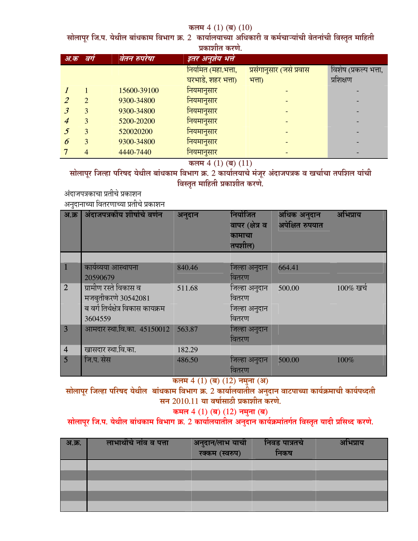#### कलम 4 (1) (ब) (10)

सोलापूर जि.प. येथील बांधकाम विभाग क्र. 2 कार्यालयाच्या अधिकारी व कर्मचाऱ्याची वेतनाची विस्तृत माहिती **<u>एकाशीत करणे</u>** 

|     | <b>AMIRINE MISSIL</b>       |              |                      |                          |                       |  |  |  |  |  |
|-----|-----------------------------|--------------|----------------------|--------------------------|-----------------------|--|--|--|--|--|
| अ.क | वगं                         | वेतन रुपरेषा | इतर अनुज्ञेय भत्ते । |                          |                       |  |  |  |  |  |
|     |                             |              | नियमित (महा.भत्ता,   | प्रसंगानुसार (जसे प्रवास | विशेष (प्रकल्प भत्ता, |  |  |  |  |  |
|     |                             |              | घरभाडे, शहर भत्ता)   | भत्ता)                   | प्रशिक्षण             |  |  |  |  |  |
|     |                             | 15600-39100  | नियमानुसार           |                          |                       |  |  |  |  |  |
|     | $\mathcal{D}_{\mathcal{L}}$ | 9300-34800   | नियमानुसार           |                          |                       |  |  |  |  |  |
|     | 3                           | 9300-34800   | नियमानुसार           |                          |                       |  |  |  |  |  |
|     | 3                           | 5200-20200   | नियमानुसार           |                          |                       |  |  |  |  |  |
|     | 3                           | 520020200    | नियमानुसार           |                          |                       |  |  |  |  |  |
| 6   | 3                           | 9300-34800   | नियमानुसार           |                          |                       |  |  |  |  |  |
|     | 4                           | 4440-7440    | नियमानुसार           |                          |                       |  |  |  |  |  |
|     |                             |              |                      |                          |                       |  |  |  |  |  |

कलम 4 (1) (ब) (11)

सोलापूर जिल्हा परिषद येथील बांधकाम विभाग क्र. 2 कार्यालयाचे मजूर अंदाजपत्रक व खर्चाचा तपशिल याची विस्तृत माहिती प्रकाशीत **करणे.** 

अदाजपत्रकाचा प्रतीचे प्रकाशन अनुदानाच्या वितरणाच्या प्रतीचे प्रकाशन

| अ.क्र           | अंदाजपत्रकीय शीर्षाचे वर्णन                                                                  | अनुदान | नियोजित<br>वापर (क्षेत्र व<br>कामाचा<br>तपशील)   | अधिक अनुदान<br>अपेक्षित रुपयात | अभिप्राय     |
|-----------------|----------------------------------------------------------------------------------------------|--------|--------------------------------------------------|--------------------------------|--------------|
|                 |                                                                                              |        |                                                  |                                |              |
| $\vert$ 1       | कार्यव्यया आस्थापना<br>20590679                                                              | 840.46 | जिल्हा अनुदान<br>वितरण                           | 664.41                         |              |
| $\overline{2}$  | ग्रामीण रस्ते विकास व<br>मजबुतीकरणे 30542081<br>ब वर्ग तिर्थक्षेत्र विकास कायक्रम<br>3604559 | 511.68 | जिल्हा अनुदान<br>वितरण<br>जिल्हा अनुदान<br>वितरण | 500.00                         | $100\%$ खर्च |
| $\overline{3}$  | आमदार स्था.वि.का. 45150012 563.87                                                            |        | जिल्हा अनुदान<br>वितरण                           |                                |              |
| $\overline{4}$  | खासदार स्था.वि.का.                                                                           | 182.29 |                                                  |                                |              |
| $5\overline{)}$ | जि.प. सेस                                                                                    | 486.50 | जिल्हा अनुदान<br>वितरण                           | 500.00                         | 100%         |

कलम 4 (1) (ब) (12) नमुना (अ)

सोलापूर जिल्हा परिषद येथील बाधकाम विभाग क्र. 2 कार्यालयातील अनुदान वाटपाच्या कार्यक्रमाची कार्यपध्दती सन 2010.11 या वर्षासाठी प्रकाशीत करणे.

## कमल 4 (1) (ब) (12) नमुना (ब)

## सोलापूर जि.प. येथील बांधकाम विभाग क्र. 2 कार्यालयातील अनुदान कार्यक्रमातर्गत विस्तृत यादी प्रसिध्द करणे.

| <b>अ.क्र.</b> | लाभार्थीचे नांव व पत्ता | अनुदान/लाभ याची<br>रक्कम (स्वरुप) | निवड पात्रतचे<br>निकष | अभिप्राय |
|---------------|-------------------------|-----------------------------------|-----------------------|----------|
|               |                         |                                   |                       |          |
|               |                         |                                   |                       |          |
|               |                         |                                   |                       |          |
|               |                         |                                   |                       |          |
|               |                         |                                   |                       |          |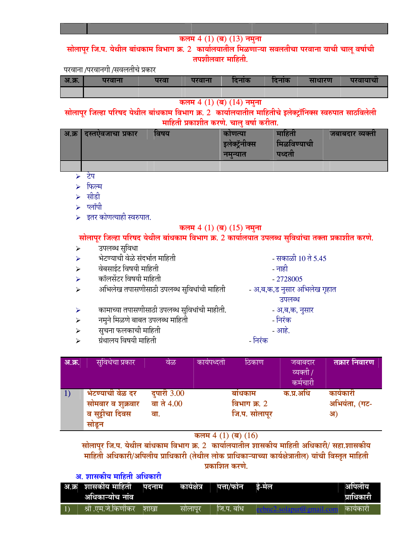## कलम 4 (1) (ब) (13) नमुना

सोलापुर जि.प. येथील बांधकाम विभाग क्र. 2 कार्यालयातील मिळणाऱ्या सवलतीचा परवाना याची चालू वर्षाची तपशीलवार माहिती.

### परवाना /परवानगी /सवलतीचे प्रकार

| <b>अ.क्र.</b> | परवाना | परवा | परवान | दनाक | ादनाक | साधारण | परवायाचा |
|---------------|--------|------|-------|------|-------|--------|----------|
|               |        |      |       |      |       |        |          |

#### कलम 4 (1) (ब) (14) नमुना

सोलापुर जिल्हा परिषद येथील बांधकाम विभाग क्र. 2 कार्यालयातील माहितीचे इलेक्ट्रॉनिक्स स्वरुपात साठविलेली माहिती प्रकाशीत करणे. चालु वर्षा करीता.

| अ.क्र | । दस्तएवजाचा प्रकार | ावषय | काणत्या<br>$\sim$ 0<br>इलेक्ट्नॉक्स<br>नमन्यात | माहिता<br>मिळविण्याची<br>पध्दता | जबाबदार व्यक्ता |
|-------|---------------------|------|------------------------------------------------|---------------------------------|-----------------|
|       |                     |      |                                                |                                 |                 |
|       |                     |      |                                                |                                 |                 |

- टेप
- ≻ फिल्म
- ≻ सीडी
- प्लॉपी  $\blacktriangleright$
- $\triangleright$  इतर कोणत्याही स्वरुपात.

### कलम  $4(1)$  (ब)  $(15)$  नमुना

सोलापूर जिल्हा परिषद येथील बांधकाम विभाग क्र. 2 कार्यालयात उपलब्ध सुविधांचा तक्ता प्रकाशीत करणे.

- उपलब्ध सुविधा  $\blacktriangleright$
- भेटण्याची वेळे संदर्भात माहिती  $\blacktriangleright$
- वेबसाईट विषयी माहिती  $\blacktriangleright$
- कॉलसेंटर विषयी माहिती  $\blacktriangleright$
- अभिलेख तपासणीसाठी उपलब्ध सुविधांची माहिती  $\blacktriangleright$
- कामाच्या तपासणीसाठी उपलब्ध सुविधांची माहीती. ➤
- नमुने मिळणे बाबत उपलब्ध माहिती  $\blacktriangleright$
- सूचना फलकाची माहिती  $\blacktriangleright$
- ग्रंथालय विषयी माहिती  $\blacktriangleright$
- सकाळी 10 ते 5.45 - नाही
- $-2728005$
- 
- अ,ब,क,ड नुसार अभिलेख गृहात
	- उपलब्ध
	- अ,ब,क, नुसार
	- निरंक
	- आहे.
- निरंक

| अ.क्र. | सुविधेचा प्रकार                                                   | वेळ                                     | कार्यपध्दती | ठिकाण                                   | जबाबदार<br>व्यक्ती /<br>कर्मचारी | तक्रार निवारण                    |
|--------|-------------------------------------------------------------------|-----------------------------------------|-------------|-----------------------------------------|----------------------------------|----------------------------------|
|        | भेटण्याची वेळ दर<br>सोमवार व शुक्रवार<br>व सुट्टीचा दिवस<br>सोड़न | <b>दुपारी 3.00</b><br>वा ते 4.00<br>वा. |             | बाधकाम<br>विभाग क्र. 2<br>जि.प. सोलापूर | क.प्र.अधि                        | कार्यकारी<br>अभियंता, (गट-<br>अ) |

कलम  $4(1)$  (ब)  $(16)$ 

सोलापूर जि.प. येथील बांधकाम विभाग क्र. 2 कार्यालयातील शासकीय माहिती अधिकारी/ सहा.शासकीय माहिती अधिकारी/अपिलीय प्राधिकारी (तेथील लोक प्राधिकाऱ्याच्या कार्यक्षेत्रातील) यांची विस्तृत माहिती प्रकाशित करणे.

## अ. शासकीय माहिती अधिकारी

| अ.क्र  शासकीय माहिती | पदनाम | कायक्षत्र | पत्ता/फान | डे-मेल | आपलाय      |
|----------------------|-------|-----------|-----------|--------|------------|
| अधिकाऱ्यांच नाव      |       |           |           |        | प्राधिकारी |
| श्री .एम.जे.किर्णाकर | शाखा  | सालापूर   | ोज.प. बाध |        | कायकारा    |